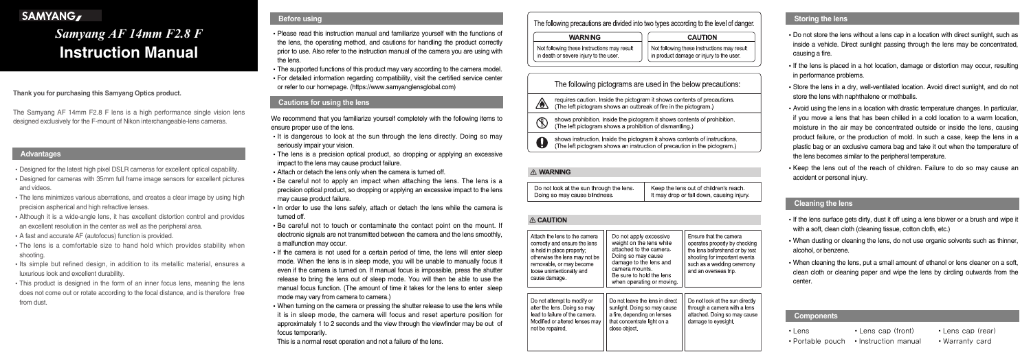#### **Thank you for purchasing this Samyang Optics product.**

The Samyang AF 14mm F2.8 F lens is a high performance single vision lens designed exclusively for the F-mount of Nikon interchangeable-lens cameras.

- Designed for the latest high pixel DSLR cameras for excellent optical capability.
- Designed for cameras with 35mm full frame image sensors for excellent pictures and videos.
- The lens minimizes various aberrations, and creates a clear image by using high precision aspherical and high refractive lenses.
- Although it is a wide-angle lens, it has excellent distortion control and provides an excellent resolution in the center as well as the peripheral area.
- A fast and accurate AF (autofocus) function is provided.
- The lens is a comfortable size to hand hold which provides stability when shooting.
- Its simple but refined design, in addition to its metallic material, ensures a luxurious look and excellent durability.
- This product is designed in the form of an inner focus lens, meaning the lens does not come out or rotate according to the focal distance, and is therefore free from dust.
- Please read this instruction manual and familiarize yourself with the functions of the lens, the operating method, and cautions for handling the product correctly prior to use. Also refer to the instruction manual of the camera you are using with the lens.
- The supported functions of this product may vary according to the camera model.
- For detailed information regarding compatibility, visit the certified service center or refer to our homepage. (https://www.samyanglensglobal.com)

- It is dangerous to look at the sun through the lens directly. Doing so may seriously impair your vision.
- The lens is a precision optical product, so dropping or applying an excessive impact to the lens may cause product failure.
- Attach or detach the lens only when the camera is turned off.
- Be careful not to apply an impact when attaching the lens. The lens is a precision optical product, so dropping or applying an excessive impact to the lens may cause product failure.
- In order to use the lens safely, attach or detach the lens while the camera is turned off.
- Be careful not to touch or contaminate the contact point on the mount. If electronic signals are not transmitted between the camera and the lens smoothly, a malfunction may occur.
- If the camera is not used for a certain period of time, the lens will enter sleep mode. When the lens is in sleep mode, you will be unable to manually focus it even if the camera is turned on. If manual focus is impossible, press the shutter release to bring the lens out of sleep mode. You will then be able to use the manual focus function. (The amount of time it takes for the lens to enter sleep mode may vary from camera to camera.)
- When turning on the camera or pressing the shutter release to use the lens while it is in sleep mode, the camera will focus and reset aperture position for approximately 1 to 2 seconds and the view through the viewfinder may be out of focus temporarily.

We recommend that you familiarize yourself completely with the following items to ensure proper use of the lens.

- If the lens surface gets dirty, dust it off using a lens blower or a brush and wipe it with a soft, clean cloth (cleaning tissue, cotton cloth, etc.)
- When dusting or cleaning the lens, do not use organic solvents such as thinner, alcohol, or benzene.
- When cleaning the lens, put a small amount of ethanol or lens cleaner on a soft, clean cloth or cleaning paper and wipe the lens by circling outwards from the center.

This is a normal reset operation and not a failure of the lens.

# The following precautions are divided into two types according to the level of danger.

#### **WARNING**

Not following these instructions may result in death or severe injury to the user

**CAUTION** 

Not following these instructions may result in product damage or injury to the user

# The following pictograms are used in the below precautions:

requires caution. Inside the pictogram it shows contents of precautions. ⚠ (The left pictogram shows an outbreak of fire in the pictogram.)

shows prohibition. Inside the pictogram it shows contents of prohibition. (The left pictogram shows a prohibition of dismantling.)

shows instruction. Inside the pictogram it shows contents of instructions. (The left pictogram shows an instruction of precaution in the pictogram.)

#### **A WARNING**

| Keep the lens out of children's reach.<br>Do not look at the sun through the lens.<br>It may drop or fall down, causing injury.<br>Doing so may cause blindness. |
|------------------------------------------------------------------------------------------------------------------------------------------------------------------|
|------------------------------------------------------------------------------------------------------------------------------------------------------------------|

#### **A CAUTION**

| Attach the lens to the camera<br>correctly and ensure the lens<br>is held in place properly;<br>otherwise the lens may not be<br>removable, or may become<br>loose unintentionally and<br>cause damage. | Do not apply excessive<br>weight on the lens while<br>attached to the camera.<br>Doing so may cause<br>damage to the lens and<br>camera mounts.<br>Be sure to hold the lens<br>when operating or moving. | Ensure that the camera<br>operates properly by checking<br>the lens beforehand or by test<br>shooting for important events<br>such as a wedding ceremony<br>and an overseas trip. |
|---------------------------------------------------------------------------------------------------------------------------------------------------------------------------------------------------------|----------------------------------------------------------------------------------------------------------------------------------------------------------------------------------------------------------|-----------------------------------------------------------------------------------------------------------------------------------------------------------------------------------|
| Do not attempt to modify or<br>alter the lens. Doing so may<br>lead to failure of the camera.<br>Modified or altered lenses may<br>not be repaired.                                                     | Do not leave the lens in direct<br>sunlight. Doing so may cause<br>a fire, depending on lenses<br>that concentrate light on a<br>close object.                                                           | Do not look at the sun directly<br>through a camera with a lens<br>attached. Doing so may cause<br>damage to eyesight.                                                            |

- Do not store the lens without a lens cap in a location with direct sunlight, such as inside a vehicle. Direct sunlight passing through the lens may be concentrated, causing a fire.
- If the lens is placed in a hot location, damage or distortion may occur, resulting in performance problems.
- Store the lens in a dry, well-ventilated location. Avoid direct sunlight, and do not store the lens with naphthalene or mothballs.
- Avoid using the lens in a location with drastic temperature changes. In particular, if you move a lens that has been chilled in a cold location to a warm location, moisture in the air may be concentrated outside or inside the lens, causing product failure, or the production of mold. In such a case, keep the lens in a plastic bag or an exclusive camera bag and take it out when the temperature of the lens becomes similar to the peripheral temperature.
- Keep the lens out of the reach of children. Failure to do so may cause an accident or personal injury.

# SAMYANG,

# *Samyang AF 14mm F2.8 F* **Instruction Manual**

# **Before using**

#### **Cautions for using the lens**

# **Storing the lens**

# **Cleaning the lens**

#### **Components**

- 
- 
- 
- Portable pouch Instruction manual Warranty card
- Lens **Lens cap (front)** Lens cap (rear)
	-

#### **Advantages**